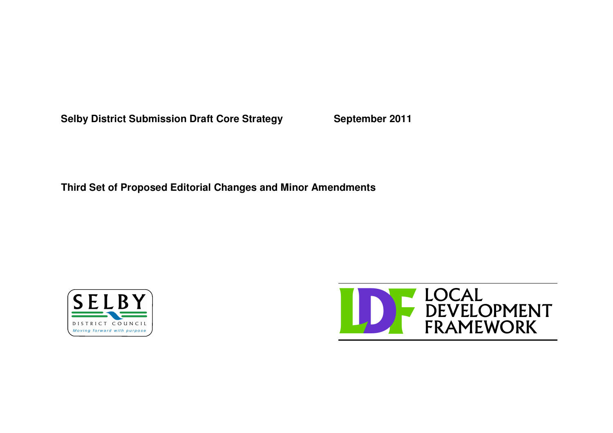**Selby District Submission Draft Core Strategy September 2011**

**Third Set of Proposed Editorial Changes and Minor Amendments**



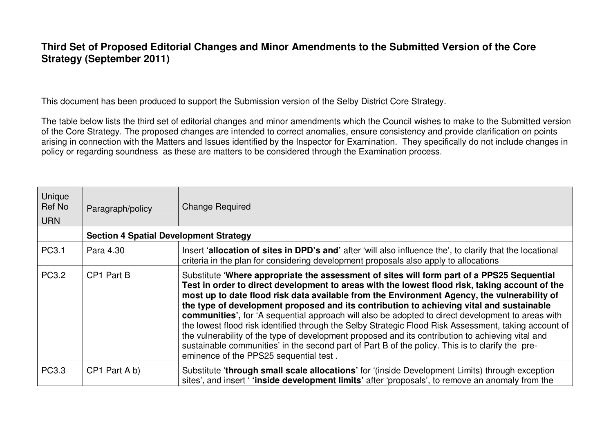## **Third Set of Proposed Editorial Changes and Minor Amendments to the Submitted Version of the Core Strategy (September 2011)**

This document has been produced to support the Submission version of the Selby District Core Strategy.

The table below lists the third set of editorial changes and minor amendments which the Council wishes to make to the Submitted version of the Core Strategy. The proposed changes are intended to correct anomalies, ensure consistency and provide clarification on points arising in connection with the Matters and Issues identified by the Inspector for Examination. They specifically do not include changes in policy or regarding soundness as these are matters to be considered through the Examination process.

| Unique<br>Ref No<br><b>URN</b> | Paragraph/policy                              | <b>Change Required</b>                                                                                                                                                                                                                                                                                                                                                                                                                                                                                                                                                                                                                                                                                                                                                                                                                                   |
|--------------------------------|-----------------------------------------------|----------------------------------------------------------------------------------------------------------------------------------------------------------------------------------------------------------------------------------------------------------------------------------------------------------------------------------------------------------------------------------------------------------------------------------------------------------------------------------------------------------------------------------------------------------------------------------------------------------------------------------------------------------------------------------------------------------------------------------------------------------------------------------------------------------------------------------------------------------|
|                                | <b>Section 4 Spatial Development Strategy</b> |                                                                                                                                                                                                                                                                                                                                                                                                                                                                                                                                                                                                                                                                                                                                                                                                                                                          |
| PC3.1                          | Para 4.30                                     | Insert 'allocation of sites in DPD's and' after 'will also influence the', to clarify that the locational<br>criteria in the plan for considering development proposals also apply to allocations                                                                                                                                                                                                                                                                                                                                                                                                                                                                                                                                                                                                                                                        |
| PC3.2                          | CP1 Part B                                    | Substitute 'Where appropriate the assessment of sites will form part of a PPS25 Sequential<br>Test in order to direct development to areas with the lowest flood risk, taking account of the<br>most up to date flood risk data available from the Environment Agency, the vulnerability of<br>the type of development proposed and its contribution to achieving vital and sustainable<br>communities', for 'A sequential approach will also be adopted to direct development to areas with<br>the lowest flood risk identified through the Selby Strategic Flood Risk Assessment, taking account of<br>the vulnerability of the type of development proposed and its contribution to achieving vital and<br>sustainable communities' in the second part of Part B of the policy. This is to clarify the pre-<br>eminence of the PPS25 sequential test. |
| PC3.3                          | CP1 Part A b)                                 | Substitute 'through small scale allocations' for '(inside Development Limits) through exception<br>sites', and insert 'finside development limits' after 'proposals', to remove an anomaly from the                                                                                                                                                                                                                                                                                                                                                                                                                                                                                                                                                                                                                                                      |